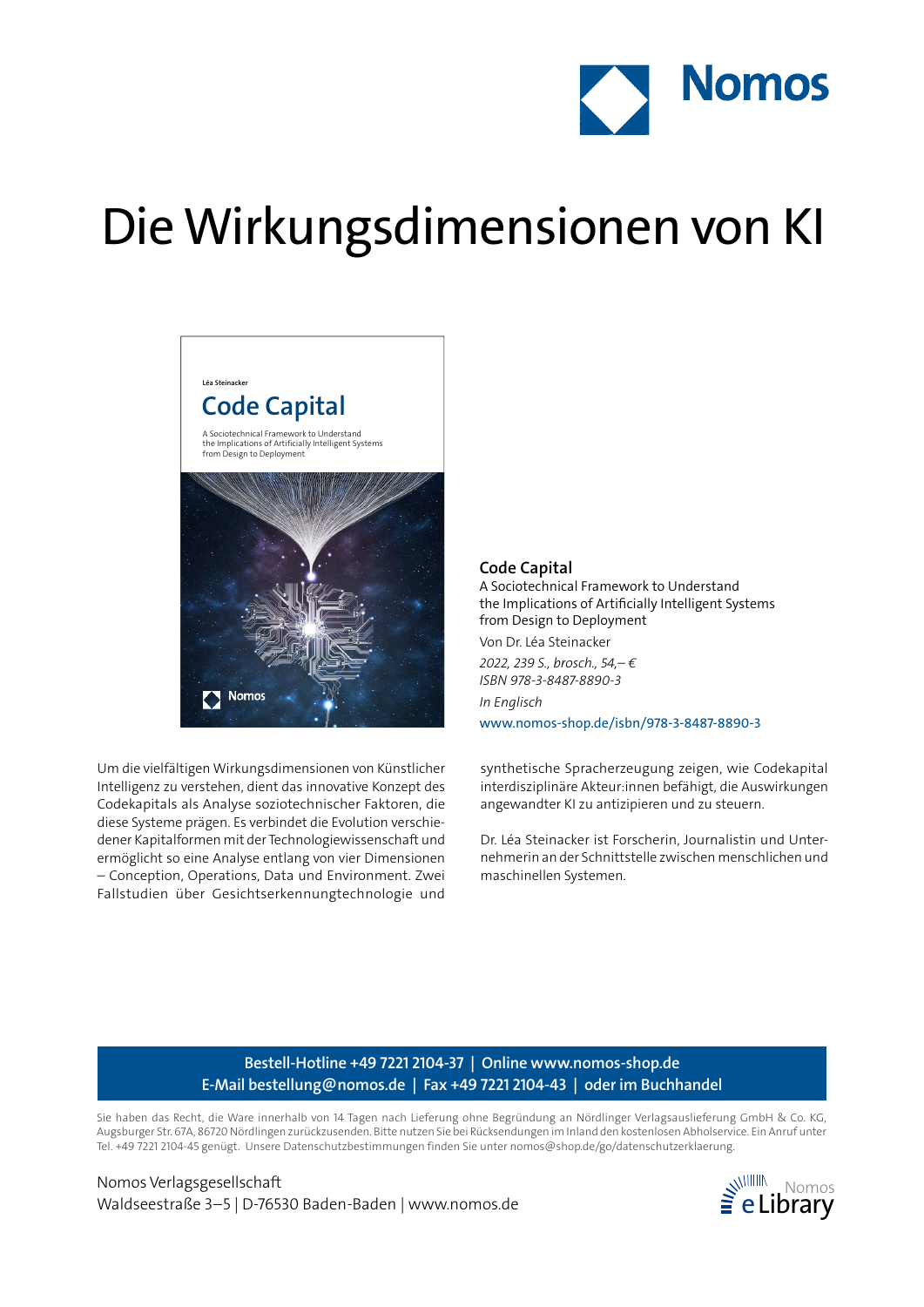

# Die Wirkungsdimensionen von KI



**Léa Steinacker**

Um die vielfältigen Wirkungsdimensionen von Künstlicher Intelligenz zu verstehen, dient das innovative Konzept des Codekapitals als Analyse soziotechnischer Faktoren, die diese Systeme prägen. Es verbindet die Evolution verschiedener Kapitalformen mit der Technologiewissenschaft und ermöglicht so eine Analyse entlang von vier Dimensionen – Conception, Operations, Data und Environment. Zwei Fallstudien über Gesichtserkennungtechnologie und

### **Code Capital**

A Sociotechnical Framework to Understand the Implications of Artificially Intelligent Systems from Design to Deployment

Von Dr. Léa Steinacker

*2022, 239 S., brosch., 54,– € ISBN 978-3-8487-8890-3 In Englisch* www.nomos-shop.de/isbn/978-3-8487-8890-3

synthetische Spracherzeugung zeigen, wie Codekapital interdisziplinäre Akteur:innen befähigt, die Auswirkungen angewandter KI zu antizipieren und zu steuern.

Dr. Léa Steinacker ist Forscherin, Journalistin und Unternehmerin an der Schnittstelle zwischen menschlichen und maschinellen Systemen.

## **Bestell-Hotline +49 7221 2104-37 | Online www.nomos-shop.de E-Mail bestellung@nomos.de | Fax +49 7221 2104-43 | oder im Buchhandel**

Sie haben das Recht, die Ware innerhalb von 14 Tagen nach Lieferung ohne Begründung an Nördlinger Verlagsauslieferung GmbH & Co. KG, Augsburger Str. 67A, 86720 Nördlingen zurückzusenden. Bitte nutzen Sie bei Rücksendungen im Inland den kostenlosen Abholservice. Ein Anruf unter Tel. +49 7221 2104-45 genügt. Unsere Datenschutzbestimmungen finden Sie unter nomos@shop.de/go/datenschutzerklaerung.

Nomos Verlagsgesellschaft Waldseestraße 3–5 | D-76530 Baden-Baden | www.nomos.de  $\geq e$  **Library**